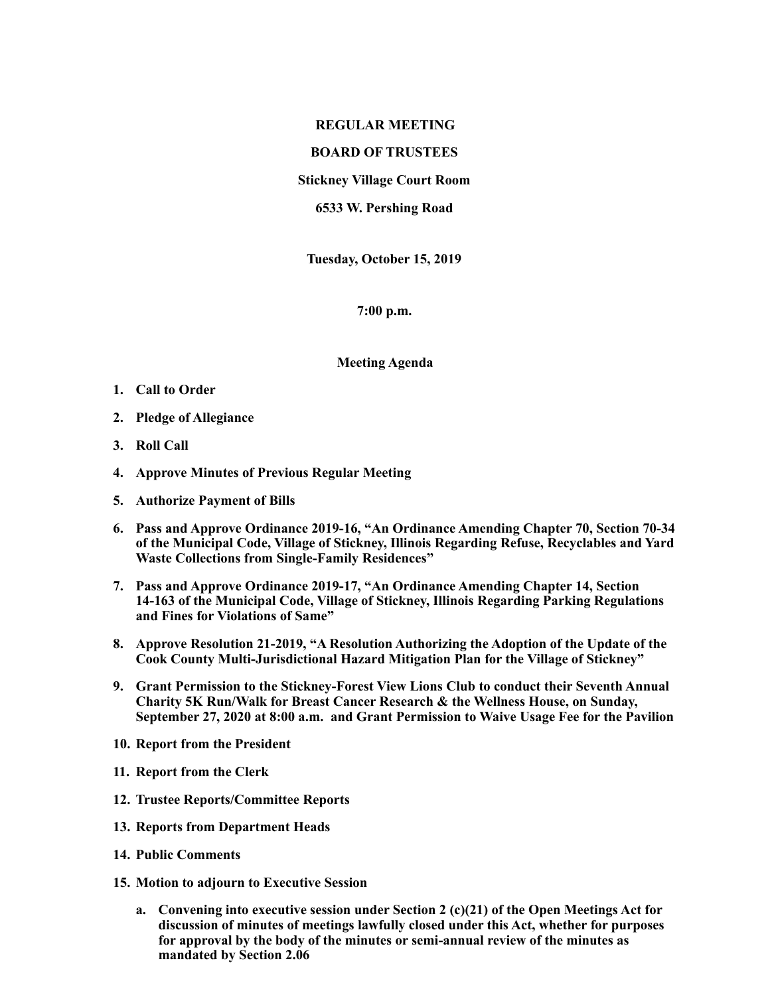## **REGULAR MEETING**

## **BOARD OF TRUSTEES**

**Stickney Village Court Room** 

**6533 W. Pershing Road** 

**Tuesday, October 15, 2019** 

**7:00 p.m.** 

**Meeting Agenda** 

- **1. Call to Order**
- **2. Pledge of Allegiance**
- **3. Roll Call**
- **4. Approve Minutes of Previous Regular Meeting**
- **5. Authorize Payment of Bills**
- **6. Pass and Approve Ordinance 2019-16, "An Ordinance Amending Chapter 70, Section 70-34 of the Municipal Code, Village of Stickney, Illinois Regarding Refuse, Recyclables and Yard Waste Collections from Single-Family Residences"**
- **7. Pass and Approve Ordinance 2019-17, "An Ordinance Amending Chapter 14, Section 14-163 of the Municipal Code, Village of Stickney, Illinois Regarding Parking Regulations and Fines for Violations of Same"**
- **8. Approve Resolution 21-2019, "A Resolution Authorizing the Adoption of the Update of the Cook County Multi-Jurisdictional Hazard Mitigation Plan for the Village of Stickney"**
- **9. Grant Permission to the Stickney-Forest View Lions Club to conduct their Seventh Annual Charity 5K Run/Walk for Breast Cancer Research & the Wellness House, on Sunday, September 27, 2020 at 8:00 a.m. and Grant Permission to Waive Usage Fee for the Pavilion**
- **10. Report from the President**
- **11. Report from the Clerk**
- **12. Trustee Reports/Committee Reports**
- **13. Reports from Department Heads**
- **14. Public Comments**
- **15. Motion to adjourn to Executive Session** 
	- **a. Convening into executive session under Section 2 (c)(21) of the Open Meetings Act for discussion of minutes of meetings lawfully closed under this Act, whether for purposes for approval by the body of the minutes or semi-annual review of the minutes as mandated by Section 2.06**